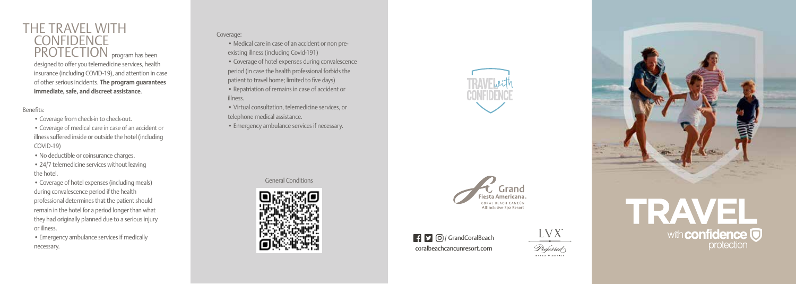

#### Benefits:

- Coverage from check-in to check-out.
- Coverage of medical care in case of an accident or illness suffered inside or outside the hotel (including COVID-19 )
- No deductible or coinsurance charges.
- 24/7 telemedicine services without leaving the hotel.

• Coverage of hotel expenses (including meals) during convalescence period if the health professional determines that the patient should remain in the hotel for a period longer than what they had originally planned due to a serious injury or illness.

• Emergency ambulance services if medically necessary.

### Coverage:

- Medical care in case of an accident or non preexisting illness (including Covid-191)
- Coverage of hotel expenses during convalescence period (in case the health professional forbids the patient to travel home; limited to five days) • Repatriation of remains in case of accident or illness.
- Virtual consultation, telemedicine services, or telephone medical assistance.
- Emergency ambulance services if necessary.

General Conditions



<sup>1</sup> C O / GrandCoralBeach coralbeachcancunresort.com



All Inclusive Spa Resort